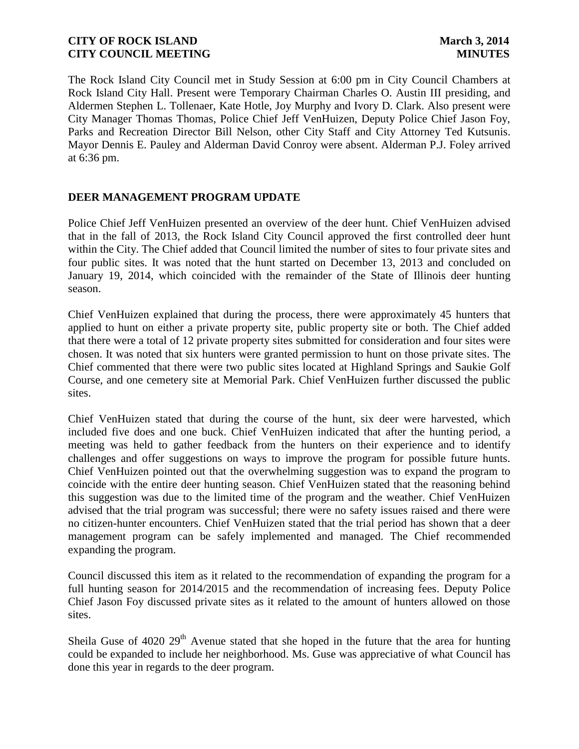The Rock Island City Council met in Study Session at 6:00 pm in City Council Chambers at Rock Island City Hall. Present were Temporary Chairman Charles O. Austin III presiding, and Aldermen Stephen L. Tollenaer, Kate Hotle, Joy Murphy and Ivory D. Clark. Also present were City Manager Thomas Thomas, Police Chief Jeff VenHuizen, Deputy Police Chief Jason Foy, Parks and Recreation Director Bill Nelson, other City Staff and City Attorney Ted Kutsunis. Mayor Dennis E. Pauley and Alderman David Conroy were absent. Alderman P.J. Foley arrived at 6:36 pm.

# **DEER MANAGEMENT PROGRAM UPDATE**

Police Chief Jeff VenHuizen presented an overview of the deer hunt. Chief VenHuizen advised that in the fall of 2013, the Rock Island City Council approved the first controlled deer hunt within the City. The Chief added that Council limited the number of sites to four private sites and four public sites. It was noted that the hunt started on December 13, 2013 and concluded on January 19, 2014, which coincided with the remainder of the State of Illinois deer hunting season.

Chief VenHuizen explained that during the process, there were approximately 45 hunters that applied to hunt on either a private property site, public property site or both. The Chief added that there were a total of 12 private property sites submitted for consideration and four sites were chosen. It was noted that six hunters were granted permission to hunt on those private sites. The Chief commented that there were two public sites located at Highland Springs and Saukie Golf Course, and one cemetery site at Memorial Park. Chief VenHuizen further discussed the public sites.

Chief VenHuizen stated that during the course of the hunt, six deer were harvested, which included five does and one buck. Chief VenHuizen indicated that after the hunting period, a meeting was held to gather feedback from the hunters on their experience and to identify challenges and offer suggestions on ways to improve the program for possible future hunts. Chief VenHuizen pointed out that the overwhelming suggestion was to expand the program to coincide with the entire deer hunting season. Chief VenHuizen stated that the reasoning behind this suggestion was due to the limited time of the program and the weather. Chief VenHuizen advised that the trial program was successful; there were no safety issues raised and there were no citizen-hunter encounters. Chief VenHuizen stated that the trial period has shown that a deer management program can be safely implemented and managed. The Chief recommended expanding the program.

Council discussed this item as it related to the recommendation of expanding the program for a full hunting season for 2014/2015 and the recommendation of increasing fees. Deputy Police Chief Jason Foy discussed private sites as it related to the amount of hunters allowed on those sites.

Sheila Guse of  $4020\ 29<sup>th</sup>$  Avenue stated that she hoped in the future that the area for hunting could be expanded to include her neighborhood. Ms. Guse was appreciative of what Council has done this year in regards to the deer program.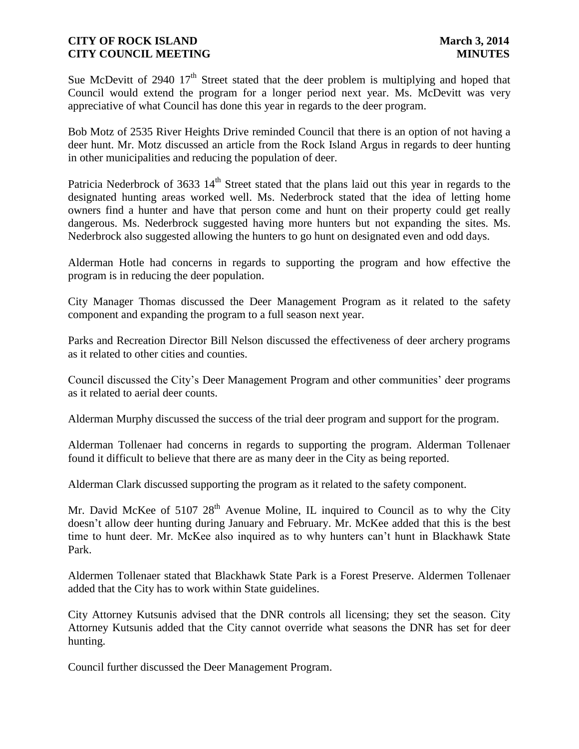Sue McDevitt of 2940  $17<sup>th</sup>$  Street stated that the deer problem is multiplying and hoped that Council would extend the program for a longer period next year. Ms. McDevitt was very appreciative of what Council has done this year in regards to the deer program.

Bob Motz of 2535 River Heights Drive reminded Council that there is an option of not having a deer hunt. Mr. Motz discussed an article from the Rock Island Argus in regards to deer hunting in other municipalities and reducing the population of deer.

Patricia Nederbrock of 3633 14<sup>th</sup> Street stated that the plans laid out this year in regards to the designated hunting areas worked well. Ms. Nederbrock stated that the idea of letting home owners find a hunter and have that person come and hunt on their property could get really dangerous. Ms. Nederbrock suggested having more hunters but not expanding the sites. Ms. Nederbrock also suggested allowing the hunters to go hunt on designated even and odd days.

Alderman Hotle had concerns in regards to supporting the program and how effective the program is in reducing the deer population.

City Manager Thomas discussed the Deer Management Program as it related to the safety component and expanding the program to a full season next year.

Parks and Recreation Director Bill Nelson discussed the effectiveness of deer archery programs as it related to other cities and counties.

Council discussed the City's Deer Management Program and other communities' deer programs as it related to aerial deer counts.

Alderman Murphy discussed the success of the trial deer program and support for the program.

Alderman Tollenaer had concerns in regards to supporting the program. Alderman Tollenaer found it difficult to believe that there are as many deer in the City as being reported.

Alderman Clark discussed supporting the program as it related to the safety component.

Mr. David McKee of  $510728<sup>th</sup>$  Avenue Moline, IL inquired to Council as to why the City doesn't allow deer hunting during January and February. Mr. McKee added that this is the best time to hunt deer. Mr. McKee also inquired as to why hunters can't hunt in Blackhawk State Park.

Aldermen Tollenaer stated that Blackhawk State Park is a Forest Preserve. Aldermen Tollenaer added that the City has to work within State guidelines.

City Attorney Kutsunis advised that the DNR controls all licensing; they set the season. City Attorney Kutsunis added that the City cannot override what seasons the DNR has set for deer hunting.

Council further discussed the Deer Management Program.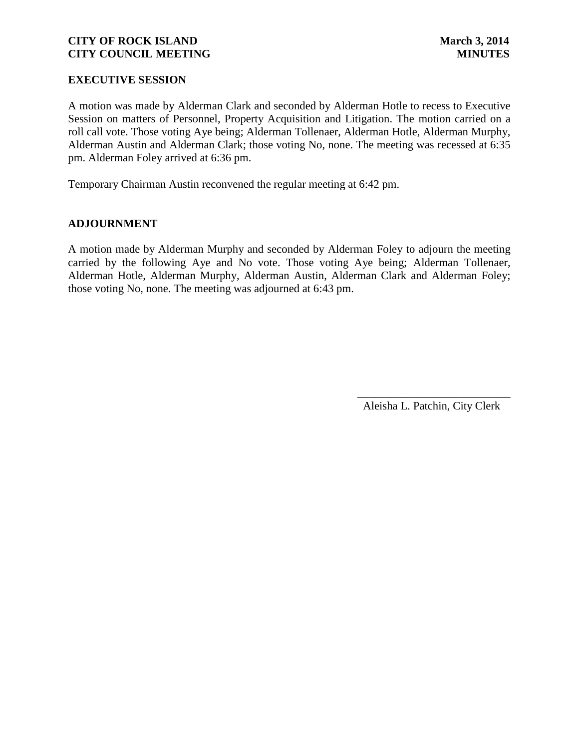## **EXECUTIVE SESSION**

A motion was made by Alderman Clark and seconded by Alderman Hotle to recess to Executive Session on matters of Personnel, Property Acquisition and Litigation. The motion carried on a roll call vote. Those voting Aye being; Alderman Tollenaer, Alderman Hotle, Alderman Murphy, Alderman Austin and Alderman Clark; those voting No, none. The meeting was recessed at 6:35 pm. Alderman Foley arrived at 6:36 pm.

Temporary Chairman Austin reconvened the regular meeting at 6:42 pm.

## **ADJOURNMENT**

A motion made by Alderman Murphy and seconded by Alderman Foley to adjourn the meeting carried by the following Aye and No vote. Those voting Aye being; Alderman Tollenaer, Alderman Hotle, Alderman Murphy, Alderman Austin, Alderman Clark and Alderman Foley; those voting No, none. The meeting was adjourned at 6:43 pm.

> \_\_\_\_\_\_\_\_\_\_\_\_\_\_\_\_\_\_\_\_\_\_\_\_\_\_\_ Aleisha L. Patchin, City Clerk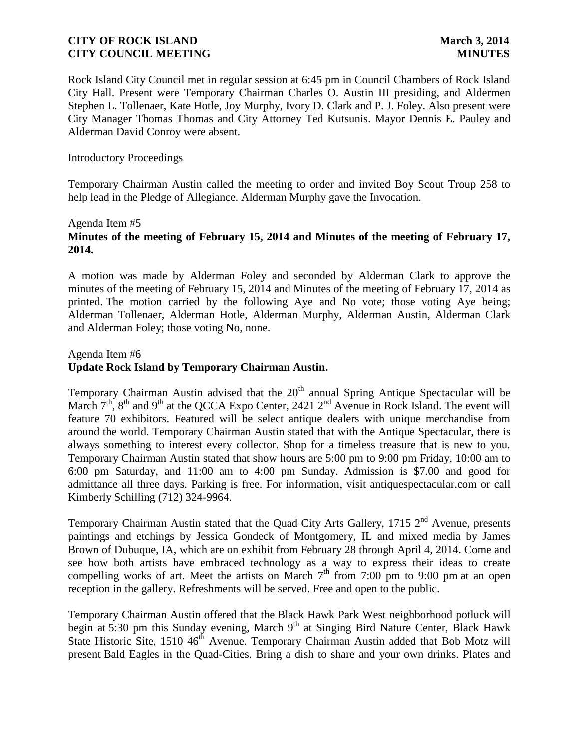Rock Island City Council met in regular session at 6:45 pm in Council Chambers of Rock Island City Hall. Present were Temporary Chairman Charles O. Austin III presiding, and Aldermen Stephen L. Tollenaer, Kate Hotle, Joy Murphy, Ivory D. Clark and P. J. Foley. Also present were City Manager Thomas Thomas and City Attorney Ted Kutsunis. Mayor Dennis E. Pauley and Alderman David Conroy were absent.

### Introductory Proceedings

Temporary Chairman Austin called the meeting to order and invited Boy Scout Troup 258 to help lead in the Pledge of Allegiance. Alderman Murphy gave the Invocation.

#### Agenda Item #5

# **Minutes of the meeting of February 15, 2014 and Minutes of the meeting of February 17, 2014.**

A motion was made by Alderman Foley and seconded by Alderman Clark to approve the minutes of the meeting of February 15, 2014 and Minutes of the meeting of February 17, 2014 as printed. The motion carried by the following Aye and No vote; those voting Aye being; Alderman Tollenaer, Alderman Hotle, Alderman Murphy, Alderman Austin, Alderman Clark and Alderman Foley; those voting No, none.

# Agenda Item #6

## **Update Rock Island by Temporary Chairman Austin.**

Temporary Chairman Austin advised that the  $20<sup>th</sup>$  annual Spring Antique Spectacular will be March  $7<sup>th</sup>$ ,  $8<sup>th</sup>$  and  $9<sup>th</sup>$  at the QCCA Expo Center, 2421  $2<sup>nd</sup>$  Avenue in Rock Island. The event will feature 70 exhibitors. Featured will be select antique dealers with unique merchandise from around the world. Temporary Chairman Austin stated that with the Antique Spectacular, there is always something to interest every collector. Shop for a timeless treasure that is new to you. Temporary Chairman Austin stated that show hours are 5:00 pm to 9:00 pm Friday, 10:00 am to 6:00 pm Saturday, and 11:00 am to 4:00 pm Sunday. Admission is \$7.00 and good for admittance all three days. Parking is free. For information, visit antiquespectacular.com or call Kimberly Schilling (712) 324-9964.

Temporary Chairman Austin stated that the Quad City Arts Gallery, 1715  $2<sup>nd</sup>$  Avenue, presents paintings and etchings by Jessica Gondeck of Montgomery, IL and mixed media by James Brown of Dubuque, IA, which are on exhibit from February 28 through April 4, 2014. Come and see how both artists have embraced technology as a way to express their ideas to create compelling works of art. Meet the artists on March  $7<sup>th</sup>$  from 7:00 pm to 9:00 pm at an open reception in the gallery. Refreshments will be served. Free and open to the public.

Temporary Chairman Austin offered that the Black Hawk Park West neighborhood potluck will begin at 5:30 pm this Sunday evening, March  $9<sup>th</sup>$  at Singing Bird Nature Center, Black Hawk State Historic Site, 1510  $46<sup>th</sup>$  Avenue. Temporary Chairman Austin added that Bob Motz will present Bald Eagles in the Quad-Cities. Bring a dish to share and your own drinks. Plates and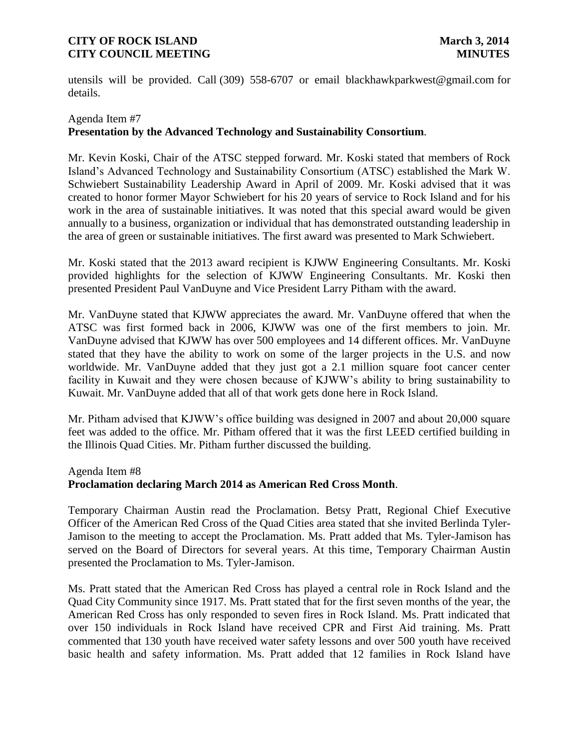utensils will be provided. Call [\(309\) 558-6707](mailto:309)%20558-6707) or email blackhawkparkwest@gmail.com for details.

## Agenda Item #7 **Presentation by the Advanced Technology and Sustainability Consortium**.

Mr. Kevin Koski, Chair of the ATSC stepped forward. Mr. Koski stated that members of Rock Island's Advanced Technology and Sustainability Consortium (ATSC) established the Mark W. Schwiebert Sustainability Leadership Award in April of 2009. Mr. Koski advised that it was created to honor former Mayor Schwiebert for his 20 years of service to Rock Island and for his work in the area of sustainable initiatives. It was noted that this special award would be given annually to a business, organization or individual that has demonstrated outstanding leadership in the area of green or sustainable initiatives. The first award was presented to Mark Schwiebert.

Mr. Koski stated that the 2013 award recipient is KJWW Engineering Consultants. Mr. Koski provided highlights for the selection of KJWW Engineering Consultants. Mr. Koski then presented President Paul VanDuyne and Vice President Larry Pitham with the award.

Mr. VanDuyne stated that KJWW appreciates the award. Mr. VanDuyne offered that when the ATSC was first formed back in 2006, KJWW was one of the first members to join. Mr. VanDuyne advised that KJWW has over 500 employees and 14 different offices. Mr. VanDuyne stated that they have the ability to work on some of the larger projects in the U.S. and now worldwide. Mr. VanDuyne added that they just got a 2.1 million square foot cancer center facility in Kuwait and they were chosen because of KJWW's ability to bring sustainability to Kuwait. Mr. VanDuyne added that all of that work gets done here in Rock Island.

Mr. Pitham advised that KJWW's office building was designed in 2007 and about 20,000 square feet was added to the office. Mr. Pitham offered that it was the first LEED certified building in the Illinois Quad Cities. Mr. Pitham further discussed the building.

## Agenda Item #8

## **Proclamation declaring March 2014 as American Red Cross Month**.

Temporary Chairman Austin read the Proclamation. Betsy Pratt, Regional Chief Executive Officer of the American Red Cross of the Quad Cities area stated that she invited Berlinda Tyler-Jamison to the meeting to accept the Proclamation. Ms. Pratt added that Ms. Tyler-Jamison has served on the Board of Directors for several years. At this time, Temporary Chairman Austin presented the Proclamation to Ms. Tyler-Jamison.

Ms. Pratt stated that the American Red Cross has played a central role in Rock Island and the Quad City Community since 1917. Ms. Pratt stated that for the first seven months of the year, the American Red Cross has only responded to seven fires in Rock Island. Ms. Pratt indicated that over 150 individuals in Rock Island have received CPR and First Aid training. Ms. Pratt commented that 130 youth have received water safety lessons and over 500 youth have received basic health and safety information. Ms. Pratt added that 12 families in Rock Island have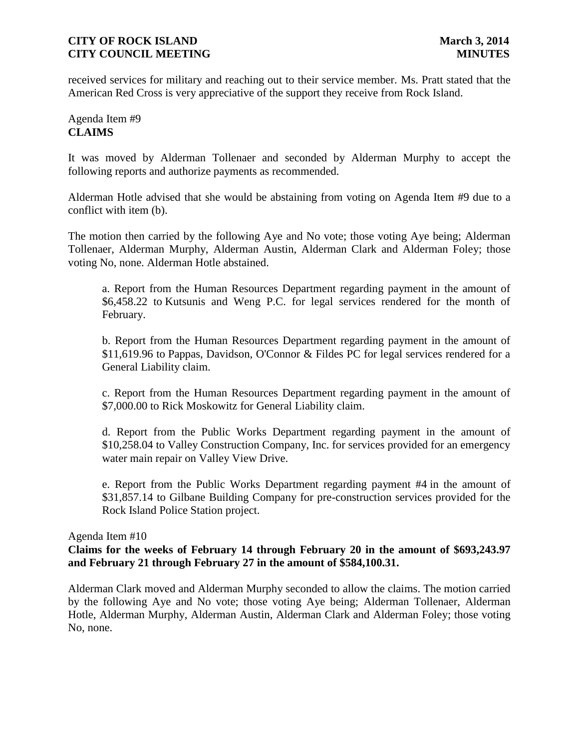received services for military and reaching out to their service member. Ms. Pratt stated that the American Red Cross is very appreciative of the support they receive from Rock Island.

# Agenda Item #9 **CLAIMS**

It was moved by Alderman Tollenaer and seconded by Alderman Murphy to accept the following reports and authorize payments as recommended.

Alderman Hotle advised that she would be abstaining from voting on Agenda Item #9 due to a conflict with item (b).

The motion then carried by the following Aye and No vote; those voting Aye being; Alderman Tollenaer, Alderman Murphy, Alderman Austin, Alderman Clark and Alderman Foley; those voting No, none. Alderman Hotle abstained.

a. Report from the Human Resources Department regarding payment in the amount of \$6,458.22 to Kutsunis and Weng P.C. for legal services rendered for the month of February.

b. Report from the Human Resources Department regarding payment in the amount of \$11,619.96 to Pappas, Davidson, O'Connor & Fildes PC for legal services rendered for a General Liability claim.

c. Report from the Human Resources Department regarding payment in the amount of \$7,000.00 to Rick Moskowitz for General Liability claim.

d. Report from the Public Works Department regarding payment in the amount of \$10,258.04 to Valley Construction Company, Inc. for services provided for an emergency water main repair on Valley View Drive.

e. Report from the Public Works Department regarding payment #4 in the amount of \$31,857.14 to Gilbane Building Company for pre-construction services provided for the Rock Island Police Station project.

## Agenda Item #10

# **Claims for the weeks of February 14 through February 20 in the amount of \$693,243.97 and February 21 through February 27 in the amount of \$584,100.31.**

Alderman Clark moved and Alderman Murphy seconded to allow the claims. The motion carried by the following Aye and No vote; those voting Aye being; Alderman Tollenaer, Alderman Hotle, Alderman Murphy, Alderman Austin, Alderman Clark and Alderman Foley; those voting No, none.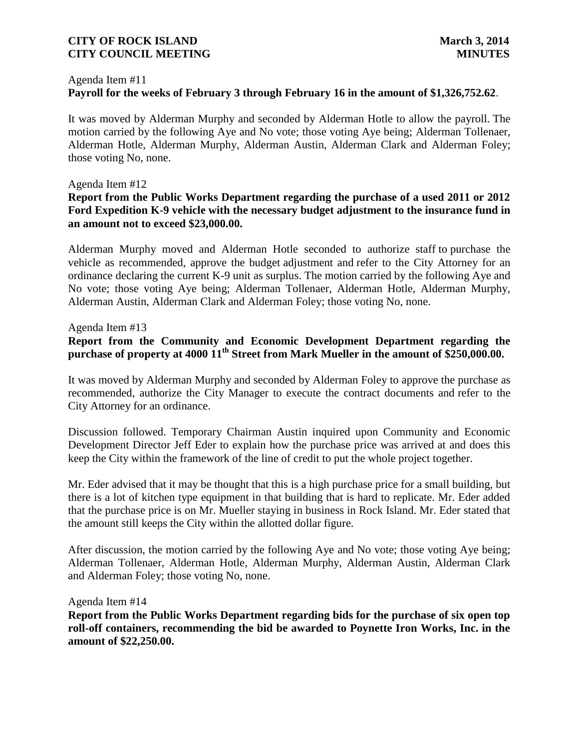#### Agenda Item #11

# **Payroll for the weeks of February 3 through February 16 in the amount of \$1,326,752.62**.

It was moved by Alderman Murphy and seconded by Alderman Hotle to allow the payroll. The motion carried by the following Aye and No vote; those voting Aye being; Alderman Tollenaer, Alderman Hotle, Alderman Murphy, Alderman Austin, Alderman Clark and Alderman Foley; those voting No, none.

### Agenda Item #12

# **Report from the Public Works Department regarding the purchase of a used 2011 or 2012 Ford Expedition K-9 vehicle with the necessary budget adjustment to the insurance fund in an amount not to exceed \$23,000.00.**

Alderman Murphy moved and Alderman Hotle seconded to authorize staff to purchase the vehicle as recommended, approve the budget adjustment and refer to the City Attorney for an ordinance declaring the current K-9 unit as surplus. The motion carried by the following Aye and No vote; those voting Aye being; Alderman Tollenaer, Alderman Hotle, Alderman Murphy, Alderman Austin, Alderman Clark and Alderman Foley; those voting No, none.

## Agenda Item #13

# **Report from the Community and Economic Development Department regarding the purchase of property at 4000 11th Street from Mark Mueller in the amount of \$250,000.00.**

It was moved by Alderman Murphy and seconded by Alderman Foley to approve the purchase as recommended, authorize the City Manager to execute the contract documents and refer to the City Attorney for an ordinance.

Discussion followed. Temporary Chairman Austin inquired upon Community and Economic Development Director Jeff Eder to explain how the purchase price was arrived at and does this keep the City within the framework of the line of credit to put the whole project together.

Mr. Eder advised that it may be thought that this is a high purchase price for a small building, but there is a lot of kitchen type equipment in that building that is hard to replicate. Mr. Eder added that the purchase price is on Mr. Mueller staying in business in Rock Island. Mr. Eder stated that the amount still keeps the City within the allotted dollar figure.

After discussion, the motion carried by the following Aye and No vote; those voting Aye being; Alderman Tollenaer, Alderman Hotle, Alderman Murphy, Alderman Austin, Alderman Clark and Alderman Foley; those voting No, none.

Agenda Item #14

**Report from the Public Works Department regarding bids for the purchase of six open top roll-off containers, recommending the bid be awarded to Poynette Iron Works, Inc. in the amount of \$22,250.00.**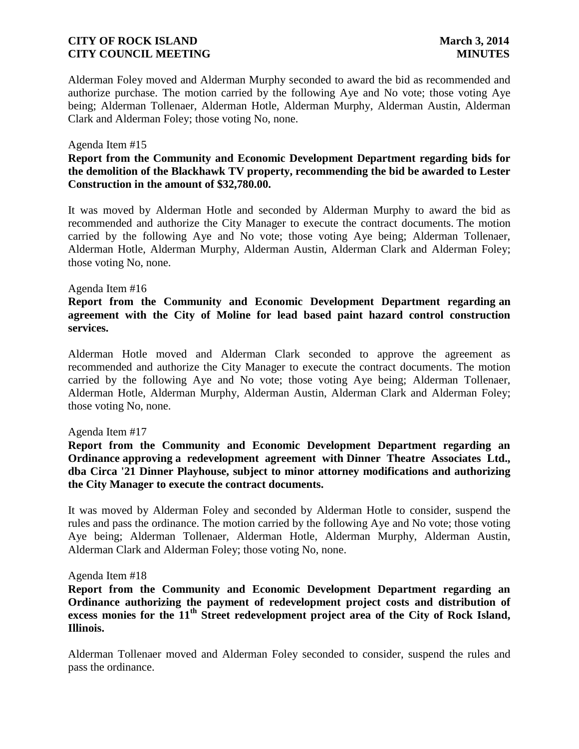Alderman Foley moved and Alderman Murphy seconded to award the bid as recommended and authorize purchase. The motion carried by the following Aye and No vote; those voting Aye being; Alderman Tollenaer, Alderman Hotle, Alderman Murphy, Alderman Austin, Alderman Clark and Alderman Foley; those voting No, none.

#### Agenda Item #15

# **Report from the Community and Economic Development Department regarding bids for the demolition of the Blackhawk TV property, recommending the bid be awarded to Lester Construction in the amount of \$32,780.00.**

It was moved by Alderman Hotle and seconded by Alderman Murphy to award the bid as recommended and authorize the City Manager to execute the contract documents. The motion carried by the following Aye and No vote; those voting Aye being; Alderman Tollenaer, Alderman Hotle, Alderman Murphy, Alderman Austin, Alderman Clark and Alderman Foley; those voting No, none.

#### Agenda Item #16

# **Report from the Community and Economic Development Department regarding an agreement with the City of Moline for lead based paint hazard control construction services.**

Alderman Hotle moved and Alderman Clark seconded to approve the agreement as recommended and authorize the City Manager to execute the contract documents. The motion carried by the following Aye and No vote; those voting Aye being; Alderman Tollenaer, Alderman Hotle, Alderman Murphy, Alderman Austin, Alderman Clark and Alderman Foley; those voting No, none.

#### Agenda Item #17

# **Report from the Community and Economic Development Department regarding an Ordinance approving a redevelopment agreement with Dinner Theatre Associates Ltd., dba Circa '21 Dinner Playhouse, subject to minor attorney modifications and authorizing the City Manager to execute the contract documents.**

It was moved by Alderman Foley and seconded by Alderman Hotle to consider, suspend the rules and pass the ordinance. The motion carried by the following Aye and No vote; those voting Aye being; Alderman Tollenaer, Alderman Hotle, Alderman Murphy, Alderman Austin, Alderman Clark and Alderman Foley; those voting No, none.

#### Agenda Item #18

# **Report from the Community and Economic Development Department regarding an Ordinance authorizing the payment of redevelopment project costs and distribution of excess monies for the 11th Street redevelopment project area of the City of Rock Island, Illinois.**

Alderman Tollenaer moved and Alderman Foley seconded to consider, suspend the rules and pass the ordinance.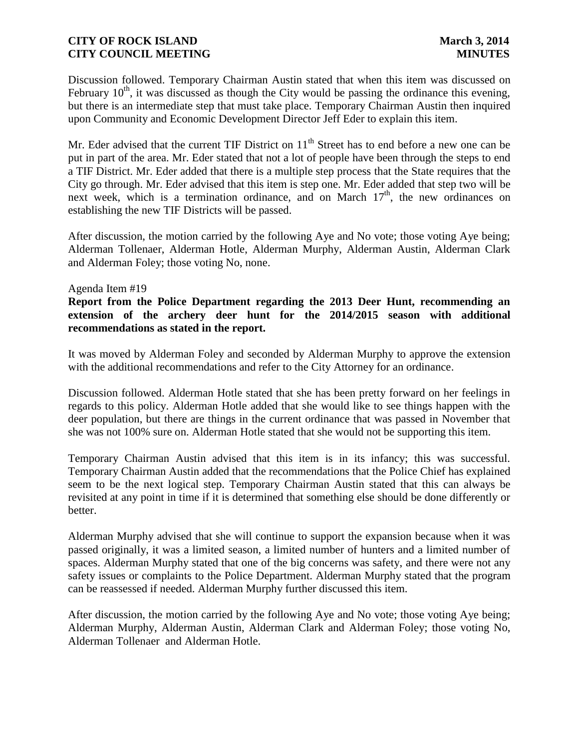Discussion followed. Temporary Chairman Austin stated that when this item was discussed on February  $10<sup>th</sup>$ , it was discussed as though the City would be passing the ordinance this evening, but there is an intermediate step that must take place. Temporary Chairman Austin then inquired upon Community and Economic Development Director Jeff Eder to explain this item.

Mr. Eder advised that the current TIF District on  $11<sup>th</sup>$  Street has to end before a new one can be put in part of the area. Mr. Eder stated that not a lot of people have been through the steps to end a TIF District. Mr. Eder added that there is a multiple step process that the State requires that the City go through. Mr. Eder advised that this item is step one. Mr. Eder added that step two will be next week, which is a termination ordinance, and on March  $17<sup>th</sup>$ , the new ordinances on establishing the new TIF Districts will be passed.

After discussion, the motion carried by the following Aye and No vote; those voting Aye being; Alderman Tollenaer, Alderman Hotle, Alderman Murphy, Alderman Austin, Alderman Clark and Alderman Foley; those voting No, none.

### Agenda Item #19

# **Report from the Police Department regarding the 2013 Deer Hunt, recommending an extension of the archery deer hunt for the 2014/2015 season with additional recommendations as stated in the report.**

It was moved by Alderman Foley and seconded by Alderman Murphy to approve the extension with the additional recommendations and refer to the City Attorney for an ordinance.

Discussion followed. Alderman Hotle stated that she has been pretty forward on her feelings in regards to this policy. Alderman Hotle added that she would like to see things happen with the deer population, but there are things in the current ordinance that was passed in November that she was not 100% sure on. Alderman Hotle stated that she would not be supporting this item.

Temporary Chairman Austin advised that this item is in its infancy; this was successful. Temporary Chairman Austin added that the recommendations that the Police Chief has explained seem to be the next logical step. Temporary Chairman Austin stated that this can always be revisited at any point in time if it is determined that something else should be done differently or better.

Alderman Murphy advised that she will continue to support the expansion because when it was passed originally, it was a limited season, a limited number of hunters and a limited number of spaces. Alderman Murphy stated that one of the big concerns was safety, and there were not any safety issues or complaints to the Police Department. Alderman Murphy stated that the program can be reassessed if needed. Alderman Murphy further discussed this item.

After discussion, the motion carried by the following Aye and No vote; those voting Aye being; Alderman Murphy, Alderman Austin, Alderman Clark and Alderman Foley; those voting No, Alderman Tollenaer and Alderman Hotle.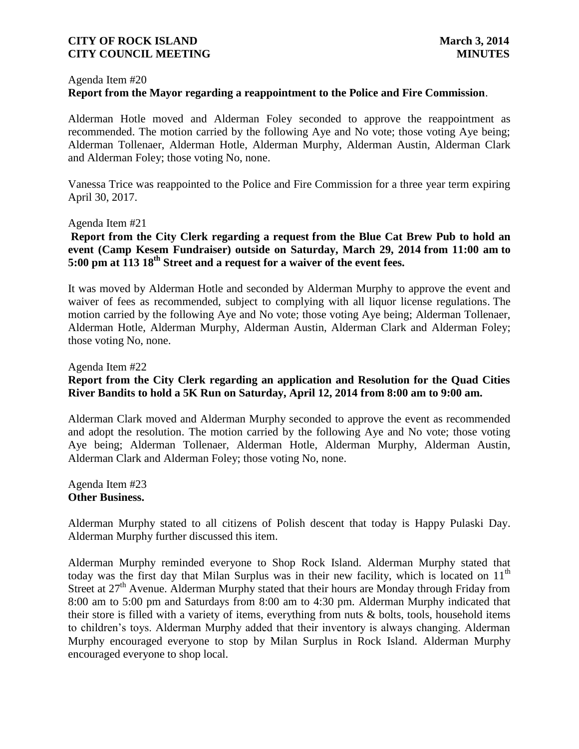#### Agenda Item #20

# **Report from the Mayor regarding a reappointment to the Police and Fire Commission**.

Alderman Hotle moved and Alderman Foley seconded to approve the reappointment as recommended. The motion carried by the following Aye and No vote; those voting Aye being; Alderman Tollenaer, Alderman Hotle, Alderman Murphy, Alderman Austin, Alderman Clark and Alderman Foley; those voting No, none.

Vanessa Trice was reappointed to the Police and Fire Commission for a three year term expiring April 30, 2017.

### Agenda Item #21

# **Report from the City Clerk regarding a request from the Blue Cat Brew Pub to hold an event (Camp Kesem Fundraiser) outside on Saturday, March 29, 2014 from 11:00 am to 5:00 pm at 113 18th Street and a request for a waiver of the event fees.**

It was moved by Alderman Hotle and seconded by Alderman Murphy to approve the event and waiver of fees as recommended, subject to complying with all liquor license regulations. The motion carried by the following Aye and No vote; those voting Aye being; Alderman Tollenaer, Alderman Hotle, Alderman Murphy, Alderman Austin, Alderman Clark and Alderman Foley; those voting No, none.

### Agenda Item #22

# **Report from the City Clerk regarding an application and Resolution for the Quad Cities River Bandits to hold a 5K Run on Saturday, April 12, 2014 from 8:00 am to 9:00 am.**

Alderman Clark moved and Alderman Murphy seconded to approve the event as recommended and adopt the resolution. The motion carried by the following Aye and No vote; those voting Aye being; Alderman Tollenaer, Alderman Hotle, Alderman Murphy, Alderman Austin, Alderman Clark and Alderman Foley; those voting No, none.

Agenda Item #23 **Other Business.**

Alderman Murphy stated to all citizens of Polish descent that today is Happy Pulaski Day. Alderman Murphy further discussed this item.

Alderman Murphy reminded everyone to Shop Rock Island. Alderman Murphy stated that today was the first day that Milan Surplus was in their new facility, which is located on  $11<sup>th</sup>$ Street at  $27<sup>th</sup>$  Avenue. Alderman Murphy stated that their hours are Monday through Friday from 8:00 am to 5:00 pm and Saturdays from 8:00 am to 4:30 pm. Alderman Murphy indicated that their store is filled with a variety of items, everything from nuts & bolts, tools, household items to children's toys. Alderman Murphy added that their inventory is always changing. Alderman Murphy encouraged everyone to stop by Milan Surplus in Rock Island. Alderman Murphy encouraged everyone to shop local.